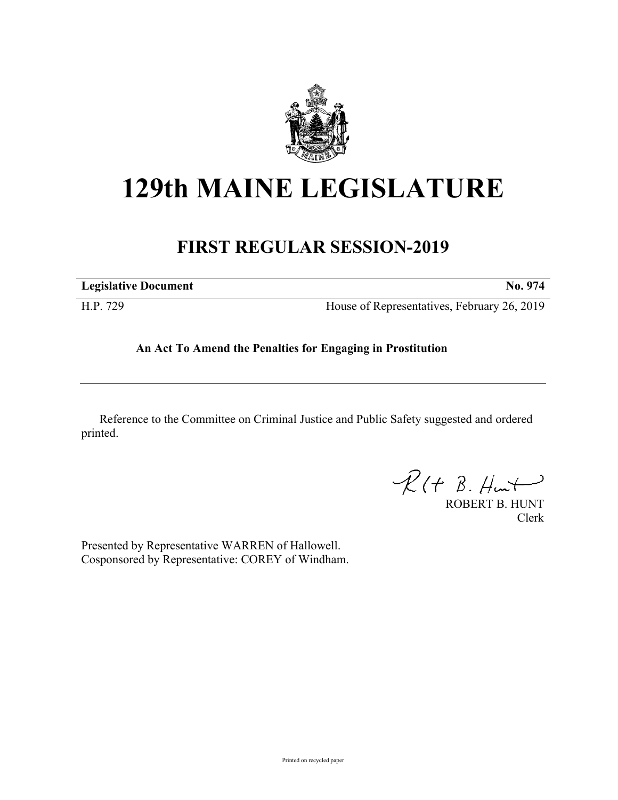

# **129th MAINE LEGISLATURE**

# **FIRST REGULAR SESSION-2019**

| <b>Legislative Document</b> | No. 974                                     |
|-----------------------------|---------------------------------------------|
| H.P. 729                    | House of Representatives, February 26, 2019 |

## **An Act To Amend the Penalties for Engaging in Prostitution**

Reference to the Committee on Criminal Justice and Public Safety suggested and ordered printed.

 $R(H B. Hmt)$ 

ROBERT B. HUNT Clerk

Presented by Representative WARREN of Hallowell. Cosponsored by Representative: COREY of Windham.